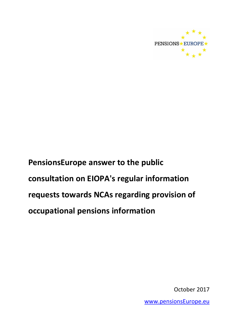

October 2017

[www.pensionsEurope.eu](http://www.pensionseurope.eu/)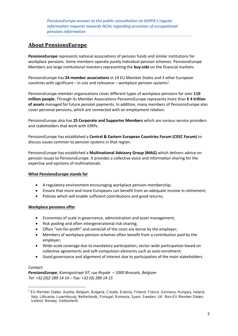# **About PensionsEurope**

**PensionsEurope** represents national associations of pension funds and similar institutions for workplace pensions. Some members operate purely individual pension schemes. PensionsEurope Members are large institutional investors representing the **buy-side** on the financial markets.

PensionsEurope has **24 member associations** in 19 EU Member States and 3 other European countries with significant – in size and relevance – workplace pension systems<sup>1</sup>.

PensionsEurope member organisations cover different types of workplace pensions for over **110 million people.** Through its Member Associations PensionsEurope represents more than **€ 4 trillion of assets** managed for future pension payments. In addition, many members of PensionsEurope also cover personal pensions, which are connected with an employment relation.

PensionsEurope also has **25 Corporate and Supporter Members** which are various service providers and stakeholders that work with IORPs.

PensionsEurope has established a **Central & Eastern European Countries Forum (CEEC Forum)** to discuss issues common to pension systems in that region.

PensionsEurope has established a **Multinational Advisory Group (MAG)** which delivers advice on pension issues to PensionsEurope. It provides a collective voice and information sharing for the expertise and opinions of multinationals.

# **What PensionsEurope stands for**

- A regulatory environment encouraging workplace pension membership;
- Ensure that more and more Europeans can benefit from an adequate income in retirement;
- Policies which will enable sufficient contributions and good returns;

#### **Workplace pensions offer**

- Economies of scale in governance, administration and asset management;
- Risk pooling and often intergenerational risk-sharing;
- Often "not-for-profit" and some/all of the costs are borne by the employer;
- Members of workplace pension schemes often benefit from a contribution paid by the employer;
- Wide-scale coverage due to mandatory participation, sector-wide participation based on collective agreements and soft-compulsion elements such as auto-enrolment;
- Good governance and alignment of interest due to participation of the main stakeholders.

#### *Contact:*

**.** 

*PensionsEurope, Koningsstraat 97, rue Royale – 1000 Brussels, Belgium Tel: +32 (0)2 289 14 14 – Fax: +32 (0) 289 14 15*

<sup>1</sup> EU Member States: Austria, Belgium, Bulgaria, Croatia, Estonia, Finland, France, Germany, Hungary, Ireland, Italy, Lithuania, Luxembourg, Netherlands, Portugal, Romania, Spain, Sweden, UK. Non-EU Member States: Iceland, Norway, Switzerland.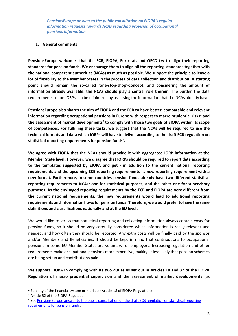#### **1. General comments**

**PensionsEurope welcomes that the ECB, EIOPA, Eurostat, and OECD try to align their reporting standards for pension funds. We encourage them to align all the reporting standards together with the national competent authorities (NCAs) as much as possible. We support the principle to leave a lot of flexibility to the Member States in the process of data collection and distribution. A starting point should remain the so-called 'one-stop-shop'-concept, and considering the amount of information already available, the NCAs should play a central role therein.** The burden the data requirements set on IORPs can be minimized by assessing the information that the NCAs already have.

**PensionsEurope also shares the aim of EIOPA and the ECB to have better, comparable and relevant information regarding occupational pensions in Europe with respect to macro prudential risks<sup>2</sup> and the assessment of market developments<sup>3</sup> to comply with those two goals of EIOPA within its scope of competences. For fulfilling these tasks, we suggest that the NCAs will be required to use the technical formats and data which IORPs will have to deliver according to the [draft ECB regulation on](https://www.ecb.europa.eu/stats/ecb_statistics/governance_and_quality_framework/consultations/html/pension_funds.en.html)  [statistical reporting requirements for pension funds](https://www.ecb.europa.eu/stats/ecb_statistics/governance_and_quality_framework/consultations/html/pension_funds.en.html)<sup>4</sup> .** 

**We agree with EIOPA that the NCAs should provide it with aggregated IORP information at the Member State level. However, we disagree that IORPs should be required to report data according to the templates suggested by EIOPA and get - in addition to the current national reporting requirements and the upcoming ECB reporting requirements - a new reporting requirement with a new format. Furthermore, in some countries pension funds already have two different statistical reporting requirements to NCAs: one for statistical purposes, and the other one for supervisory purposes. As the envisaged reporting requirements by the ECB and EIOPA are very different from the current national requirements, the new requirements would lead to additional reporting requirements and information flows for pension funds. Therefore, we would prefer to have the same definitions and classifications nationally and at the EU level.**

We would like to stress that statistical reporting and collecting information always contain costs for pension funds, so it should be very carefully considered which information is really relevant and needed, and how often they should be reported. Any extra costs will be finally paid by the sponsor and/or Members and Beneficiaries. It should be kept in mind that contributions to occupational pensions in some EU Member States are voluntary for employers. Increasing regulation and other requirements make occupational pensions more expensive, making it less likely that pension schemes are being set up and contributions paid.

**We support EIOPA in complying with its two duties as set out in Articles 18 and 32 of the EIOPA Regulation of macro prudential supervision and the assessment of market developments** (as

**.** 

<sup>&</sup>lt;sup>2</sup> Stability of the financial system or markets (Article 18 of EIOPA Regulation)

<sup>&</sup>lt;sup>3</sup> Article 32 of the EIOPA Regulation

<sup>&</sup>lt;sup>4</sup> See PensionsEurope answer to the public consultation on the draft ECB regulation on statistical reporting [requirements for pension funds.](https://www.pensionseurope.eu/pensionseurope-answer-public-consultation-draft-ecb-regulation-statistical-reporting-requirements)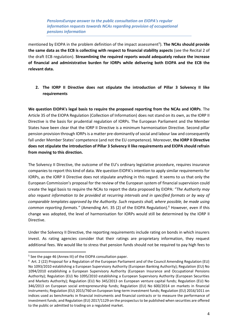mentioned by EIOPA in the problem definition of the impact assessment<sup>5</sup>). The NCAs should provide **the same data as the ECB is collecting with respect to financial stability aspects** (see the Recital 2 of the draft ECB regulation). **Streamlining the required reports would adequately reduce the increase of financial and administrative burden for IORPs while delivering both EIOPA and the ECB the relevant data.**

**2. The IORP II Directive does not stipulate the introduction of Pillar 3 Solvency II like requirements**

**We question EIOPA's legal basis to require the proposed reporting from the NCAs and IORPs**. The Article 35 of the EIOPA Regulation (Collection of Information) does not stand on its own, as the IORP II Directive is the basis for prudential regulation of IORPs. The European Parliament and the Member States have been clear that the IORP II Directive is a minimum harmonisation Directive. Second pillar pension provision through IORPs is a matter pre-dominantly of social and labour law and consequently fall under Member States' competence (and not the EU competence). Moreover, **the IORP II Directive does not stipulate the introduction of Pillar 3 Solvency II like requirements and EIOPA should refrain from moving to this direction.**

The Solvency II Directive, the outcome of the EU's ordinary legislative procedure, requires insurance companies to report this kind of data. We question EIOPA's intention to apply similar requirements for IORPs, as the IORP II Directive does not stipulate anything in this regard. It seems to us that only the European Commission's proposal for the review of the European system of financial supervision could create the legal basis to require the NCAs to report the data proposed by EIOPA: *"The Authority may also request information to be provided at recurring intervals and in specified formats or by way of comparable templates approved by the Authority. Such requests shall, where possible, be made using common reporting formats."* (Amending Art. 35 (2) of the EIOPA Regulation).<sup>6</sup> However, even if this change was adopted, the level of harmonisation for IORPs would still be determined by the IORP II Directive.

Under the Solvency II Directive, the reporting requirements include rating on bonds in which insurers invest. As rating agencies consider that their ratings are proprietary information, they request additional fees. We would like to stress that pension funds should not be required to pay high fees to

<sup>&</sup>lt;sup>5</sup> See the page 46 (Annex III) of the EIOPA consultation paper.

<sup>&</sup>lt;sup>6</sup> Art. 2 (22) Proposal for a Regulation of the European Parliament and of the Council Amending Regulation (EU) No 1093/2010 establishing a European Supervisory Authority (European Banking Authority); Regulation (EU) No 1094/2010 establishing a European Supervisory Authority (European Insurance and Occupational Pensions Authority); Regulation (EU) No 1095/2010 establishing a European Supervisory Authority (European Securities and Markets Authority); Regulation (EU) No 345/2013 on European venture capital funds; Regulation (EU) No 346/2013 on European social entrepreneurship funds; Regulation (EU) No 600/2014 on markets in financial instruments; Regulation (EU) 2015/760 on European long-term investment funds; Regulation (EU) 2016/1011 on indices used as benchmarks in financial instruments and financial contracts or to measure the performance of investment funds; and Regulation (EU) 2017/1129 on the prospectus to be published when securities are offered to the public or admitted to trading on a regulated market.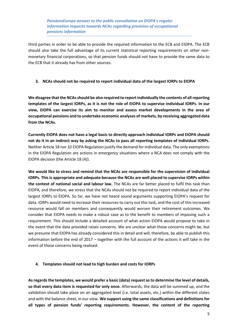third parties in order to be able to provide the required information to the ECB and EIOPA. The ECB should also take the full advantage of its current statistical reporting requirements on other nonmonetary financial corporations, so that pension funds should not have to provide the same data to the ECB that it already has from other sources.

#### **3. NCAs should not be required to report individual data of the largest IORPs to EIOPA**

**We disagree that the NCAs should be also required to report individually the contents of all reporting templates of the largest IORPs, as it is not the role of EIOPA to supervise individual IORPs. In our view, EIOPA can exercise its aim to monitor and assess market developments in the area of occupational pensions and to undertake economic analyses of markets, by receiving aggregated data from the NCAs.**

**Currently EIOPA does not have a legal basis to directly approach individual IORPs and EIOPA should not do it in an indirect way by asking the NCAs to pass all reporting templates of individual IORPs.** Neither Article 18 nor 32 EIOPA Regulation justify the demand for individual data. The only exemptions in the EIOPA Regulation are actions in emergency situations where a NCA does not comply with the EIOPA decision (the Article 18 (4)).

**We would like to stress and remind that the NCAs are responsible for the supervision of individual IORPs. This is appropriate and adequate because the NCAs are well placed to supervise IORPs within the context of national social and labour law.** The NCAs are far better placed to fulfil this task than EIOPA, and therefore, we stress that the NCAs should not be required to report individual data of the largest IORPs to EIOPA. So far, we have not heard sound arguments supporting EIOPA's request for data. IORPs would need to increase their resources to carry out this task, and the cost of this increased resource would fall on members and consequently would worsen their retirement outcomes. We consider that EIOPA needs to make a robust case as to the benefit to members of imposing such a requirement. This should include a detailed account of what action EIOPA would propose to take in the event that the data provided raises concerns. We are unclear what those concerns might be, but we presume that EIOPA has already considered this in detail and will, therefore, be able to publish this information before the end of 2017 – together with the full account of the actions it will take in the event of those concerns being realised.

# **4. Templates should not lead to high burden and costs for IORPs**

**As regards the templates, we would prefer a basic (data) request as to determine the level of details, so that every data item is requested for only once.** Afterwards, the data will be summed up, and the validation should take place on an aggregated level (i.e. total assets, etc.) within the different states and with the balance sheet, in our view. **We support using the same classifications and definitions for all types of pension funds' reporting requirements. However, the content of the reporting**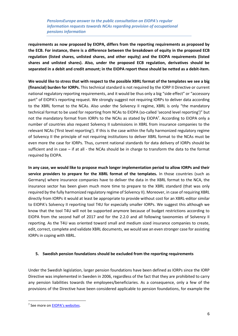**requirements as now proposed by EIOPA, differs from the reporting requirements as proposed by the ECB. For instance, there is a difference between the breakdown of equity in the proposed ECB regulation (listed shares, unlisted shares, and other equity) and the EIOPA requirements (listed shares and unlisted shares). Also, under the proposed ECB regulation, derivatives should be separated in a debit and credit amount; in the EIOPA report these should be netted as a debit-item.**

**We would like to stress that with respect to the possible XBRL format of the templates we see a big (financial) burden for IORPs.** This technical standard is not required by the IORP II Directive or current national regulatory reporting requirements, and it would be thus only a big "side effect" or "accessory part" of EIOPA's reporting request. We strongly suggest not requiring IORPs to deliver data according to the XBRL format to the NCAs. Also under the Solvency II regime, [XBRL](https://eiopa.europa.eu/Pages/Supervision/Insurance/Reporting-formats.aspx) is only "the mandatory technical format to be used for reporting from NCAs to EIOPA (so-called 'second level reporting')" but not the mandatory format from IORPs to the NCAs as stated by EIOPA<sup>7</sup>. According to EIOPA only a number of countries also request Solvency II submissions in XBRL from insurance companies to the relevant NCAs ('first level reporting'). If this is the case within the fully harmonized regulatory regime of Solvency II the principle of not requiring institutions to deliver XBRL format to the NCAs must be even more the case for IORPs. Thus, current national standards for data delivery of IORPs should be sufficient and in case – if at all - the NCAs should be in charge to transform the data to the format required by EIOPA.

**In any case, we would like to propose much longer implementation period to allow IORPs and their service providers to prepare for the XBRL format of the templates.** In those countries (such as Germany) where insurance companies have to deliver the data in the XBRL format to the NCA, the insurance sector has been given much more time to prepare to the XBRL standard (that was only required by the fully harmonized regulatory regime of Solvency II). Moreover, in case of requiring XBRL directly from IORPs it would at least be appropriate to provide without cost for an XBRL-editor similar to EIOPA's Solvency II reporting tool T4U for especially smaller IORPs. We suggest this although we know that the tool T4U will not be supported anymore because of budget restrictions according to EIOPA from the second half of 2017 and for the 2.2.0 and all following taxonomies of Solvency II reporting. As the T4U was oriented toward small and medium sized insurance companies to create, edit, correct, complete and validate XBRL documents, we would see an even stronger case for assisting IORPs in coping with XBRL.

#### **5. Swedish pension foundations should be excluded from the reporting requirements**

Under the Swedish legislation, larger pension foundations have been defined as IORPs since the IORP Directive was implemented in Sweden in 2006, regardless of the fact that they are prohibited to carry any pension liabilities towards the employees/beneficiaries. As a consequence, only a few of the provisions of the Directive have been considered applicable to pension foundations, for example the

<sup>&</sup>lt;sup>7</sup> See more on [EIOPA's websites](https://eiopa.europa.eu/regulation-supervision/insurance/tool-for-undertakings).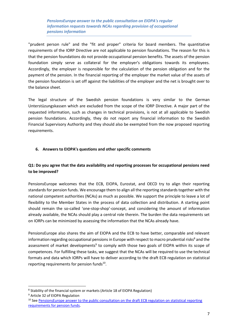"prudent person rule" and the "fit and proper" criteria for board members. The quantitative requirements of the IORP Directive are not applicable to pension foundations. The reason for this is that the pension foundations do not provide occupational pension benefits. The assets of the pension foundation simply serve as collateral for the employer's obligations towards its employees. Accordingly, the employer is responsible for the calculation of the pension obligation and for the payment of the pension. In the financial reporting of the employer the market value of the assets of the pension foundation is set off against the liabilities of the employer and the net is brought over to the balance sheet.

The legal structure of the Swedish pension foundations is very similar to the German Unterstüzungskassen which are excluded from the scope of the IORP Directive. A major part of the requested information, such as changes in technical provisions, is not at all applicable to Swedish pension foundations. Accordingly, they do not report any financial information to the Swedish Financial Supervisory Authority and they should also be exempted from the now proposed reporting requirements.

#### **6. Answers to EIOPA's questions and other specific comments**

# **Q1: Do you agree that the data availability and reporting processes for occupational pensions need to be improved?**

PensionsEurope welcomes that the ECB, EIOPA, Eurostat, and OECD try to align their reporting standards for pension funds. We encourage them to align all the reporting standards together with the national competent authorities (NCAs) as much as possible. We support the principle to leave a lot of flexibility to the Member States in the process of data collection and distribution. A starting point should remain the so-called 'one-stop-shop'-concept, and considering the amount of information already available, the NCAs should play a central role therein. The burden the data requirements set on IORPs can be minimized by assessing the information that the NCAs already have.

PensionsEurope also shares the aim of EIOPA and the ECB to have better, comparable and relevant information regarding occupational pensions in Europe with respect to macro prudential risks $<sup>8</sup>$  and the</sup> assessment of market developments<sup>9</sup> to comply with those two goals of EIOPA within its scope of competences. For fulfilling these tasks, we suggest that the NCAs will be required to use the technical formats and data which IORPs will have to deliver according to the [draft ECB regulation on statistical](https://www.ecb.europa.eu/stats/ecb_statistics/governance_and_quality_framework/consultations/html/pension_funds.en.html)  [reporting requirements for pension funds](https://www.ecb.europa.eu/stats/ecb_statistics/governance_and_quality_framework/consultations/html/pension_funds.en.html)<sup>10</sup>.

**.** 

<sup>8</sup> Stability of the financial system or markets (Article 18 of EIOPA Regulation)

<sup>9</sup> Article 32 of EIOPA Regulation

<sup>&</sup>lt;sup>10</sup> See PensionsEurope answer to the public consultation on the draft ECB regulation on statistical reporting requirements [for pension funds.](https://www.pensionseurope.eu/pensionseurope-answer-public-consultation-draft-ecb-regulation-statistical-reporting-requirements)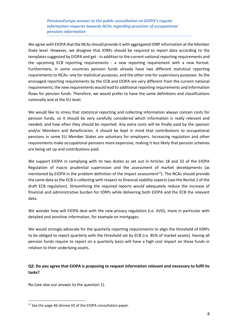We agree with EIOPA that the NCAs should provide it with aggregated IORP information at the Member State level. However, we disagree that IORPs should be required to report data according to the templates suggested by EIOPA and get - in addition to the current national reporting requirements and the upcoming ECB reporting requirements - a new reporting requirement with a new format. Furthermore, in some countries pension funds already have two different statistical reporting requirements to NCAs: one for statistical purposes, and the other one for supervisory purposes. As the envisaged reporting requirements by the ECB and EIOPA are very different from the current national requirements, the new requirements would lead to additional reporting requirements and information flows for pension funds. Therefore, we would prefer to have the same definitions and classifications nationally and at the EU level.

We would like to stress that statistical reporting and collecting information always contain costs for pension funds, so it should be very carefully considered which information is really relevant and needed, and how often they should be reported. Any extra costs will be finally paid by the sponsor and/or Members and Beneficiaries. It should be kept in mind that contributions to occupational pensions in some EU Member States are voluntary for employers. Increasing regulation and other requirements make occupational pensions more expensive, making it less likely that pension schemes are being set up and contributions paid.

We support EIOPA in complying with its two duties as set out in Articles 18 and 32 of the EIOPA Regulation of macro prudential supervision and the assessment of market developments (as mentioned by EIOPA in the problem definition of the impact assessment<sup>11</sup>). The NCAs should provide the same data as the ECB is collecting with respect to financial stability aspects (see the Recital 2 of the draft ECB regulation). Streamlining the required reports would adequately reduce the increase of financial and administrative burden for IORPs while delivering both EIOPA and the ECB the relevant data.

We wonder how will EIOPA deal with the new privacy regulation (i.e. AVG), more in particular with detailed and sensitive information, for example on mortgages.

We would strongly advocate for the quarterly reporting requirements to align the threshold of IORPs to be obliged to report quarterly with the threshold set by ECB (i.e. 85% of market assets). Having all pension funds require to report on a quarterly basis will have a high cost impact on these funds in relation to their underlying assets.

# **Q2: Do you agree that EIOPA is proposing to request information relevant and necessary to fulfil its tasks?**

No (see also our answer to the question 1).

<sup>&</sup>lt;sup>11</sup> See the page 46 (Annex III) of the EIOPA consultation paper.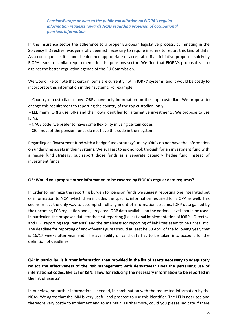In the insurance sector the adherence to a proper European legislative process, culminating in the Solvency II Directive, was generally deemed necessary to require insurers to report this kind of data. As a consequence, it cannot be deemed appropriate or acceptable if an initiative proposed solely by EIOPA leads to similar requirements for the pensions sector. We find that EIOPA's proposal is also against the better regulation agenda of the EU Commission.

We would like to note that certain items are currently not in IORPs' systems, and it would be costly to incorporate this information in their systems. For example:

- Country of custodian: many IORPs have only information on the 'top' custodian. We propose to change this requirement to reporting the country of the top custodian, only.

- LEI: many IORPs use ISINs and their own identifier for alternative investments. We propose to use ISINs.

- NACE code: we prefer to have some flexibility in using certain codes.
- CIC: most of the pension funds do not have this code in their system.

Regarding an 'investment fund with a hedge funds strategy', many IORPs do not have the information on underlying assets in their systems. We suggest to ask no look through for an investment fund with a hedge fund strategy, but report those funds as a separate category 'hedge fund' instead of investment funds.

#### **Q3: Would you propose other information to be covered by EIOPA's regular data requests?**

In order to minimize the reporting burden for pension funds we suggest reporting one integrated set of information to NCA, which then includes the specific information required for EIOPA as well. This seems in fact the only way to accomplish full alignment of information streams. IORP data gained by the upcoming ECB regulation and aggregated IORP data available on the national level should be used. In particular, the proposed date for the first reporting (i.a. national implementation of IORP II Directive and EBC reporting requirements) and the timeliness for reporting of liabilities seem to be unrealistic. The deadline for reporting of end-of-year figures should at least be 30 April of the following year, that is 16/17 weeks after year end. The availability of valid data has to be taken into account for the definition of deadlines.

**Q4: In particular, is further information than provided in the list of assets necessary to adequately reflect the effectiveness of the risk management with derivatives? Does the pertaining use of international codes, like LEI or ISIN, allow for reducing the necessary information to be reported in the list of assets?**

In our view, no further information is needed, in combination with the requested information by the NCAs. We agree that the ISIN is very useful and propose to use this identifier. The LEI is not used and therefore very costly to implement and to maintain. Furthermore, could you please indicate if there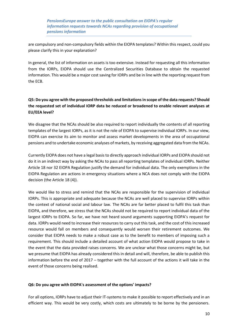are compulsory and non-compulsory fields within the EIOPA templates? Within this respect, could you please clarify this in your explanation?

In general, the list of information on assets is too extensive. Instead for requesting all this information from the IORPs, EIOPA should use the Centralized Securities Database to obtain the requested information. This would be a major cost saving for IORPs and be in line with the reporting request from the ECB.

# **Q5: Do you agree with the proposed thresholds and limitations in scope of the data requests? Should the requested set of individual IORP data be reduced or broadened to enable relevant analyses at EU/EEA level?**

We disagree that the NCAs should be also required to report individually the contents of all reporting templates of the largest IORPs, as it is not the role of EIOPA to supervise individual IORPs. In our view, EIOPA can exercise its aim to monitor and assess market developments in the area of occupational pensions and to undertake economic analyses of markets, by receiving aggregated data from the NCAs.

Currently EIOPA does not have a legal basis to directly approach individual IORPs and EIOPA should not do it in an indirect way by asking the NCAs to pass all reporting templates of individual IORPs. Neither Article 18 nor 32 EIOPA Regulation justify the demand for individual data. The only exemptions in the EIOPA Regulation are actions in emergency situations where a NCA does not comply with the EIOPA decision (the Article 18 (4)).

We would like to stress and remind that the NCAs are responsible for the supervision of individual IORPs. This is appropriate and adequate because the NCAs are well placed to supervise IORPs within the context of national social and labour law. The NCAs are far better placed to fulfil this task than EIOPA, and therefore, we stress that the NCAs should not be required to report individual data of the largest IORPs to EIOPA. So far, we have not heard sound arguments supporting EIOPA's request for data. IORPs would need to increase their resources to carry out this task, and the cost of this increased resource would fall on members and consequently would worsen their retirement outcomes. We consider that EIOPA needs to make a robust case as to the benefit to members of imposing such a requirement. This should include a detailed account of what action EIOPA would propose to take in the event that the data provided raises concerns. We are unclear what those concerns might be, but we presume that EIOPA has already considered this in detail and will, therefore, be able to publish this information before the end of 2017 – together with the full account of the actions it will take in the event of those concerns being realised.

# **Q6: Do you agree with EIOPA's assessment of the options' impacts?**

For all options, IORPs have to adjust their IT-systems to make it possible to report effectively and in an efficient way. This would be very costly, which costs are ultimately to be borne by the pensioners.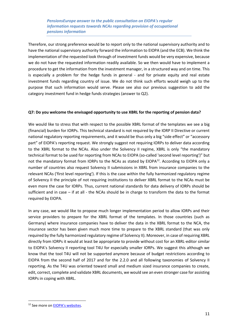Therefore, our strong preference would be to report only to the national supervisory authority and to have the national supervisory authority forward the information to EIOPA (and the ECB). We think the implementation of the requested look through of investment funds would be very expensive, because we do not have the requested information readily available. So we then would have to implement a procedure to get the information from the investment manager, in a structured way and on time. This is especially a problem for the hedge funds in general - and for private equity and real estate investment funds regarding country of issue. We do not think such efforts would weigh up to the purpose that such information would serve. Please see also our previous suggestion to add the category investment fund in hedge funds strategies (answer to Q2).

# **Q7: Do you welcome the envisaged opportunity to use XBRL for the reporting of pension data?**

We would like to stress that with respect to the possible XBRL format of the templates we see a big (financial) burden for IORPs. This technical standard is not required by the IORP II Directive or current national regulatory reporting requirements, and it would be thus only a big "side effect" or "accessory part" of EIOPA's reporting request. We strongly suggest not requiring IORPs to deliver data according to the XBRL format to the NCAs. Also under the Solvency II regime, [XBRL](https://eiopa.europa.eu/Pages/Supervision/Insurance/Reporting-formats.aspx) is only "the mandatory technical format to be used for reporting from NCAs to EIOPA (so-called 'second level reporting')" but not the mandatory format from IORPs to the NCAs as stated by EIOPA<sup>12</sup>. According to EIOPA only a number of countries also request Solvency II submissions in XBRL from insurance companies to the relevant NCAs ('first level reporting'). If this is the case within the fully harmonized regulatory regime of Solvency II the principle of not requiring institutions to deliver XBRL format to the NCAs must be even more the case for IORPs. Thus, current national standards for data delivery of IORPs should be sufficient and in case – if at all - the NCAs should be in charge to transform the data to the format required by EIOPA.

In any case, we would like to propose much longer implementation period to allow IORPs and their service providers to prepare for the XBRL format of the templates. In those countries (such as Germany) where insurance companies have to deliver the data in the XBRL format to the NCA, the insurance sector has been given much more time to prepare to the XBRL standard (that was only required by the fully harmonized regulatory regime of Solvency II). Moreover, in case of requiring XBRL directly from IORPs it would at least be appropriate to provide without cost for an XBRL-editor similar to EIOPA's Solvency II reporting tool T4U for especially smaller IORPs. We suggest this although we know that the tool T4U will not be supported anymore because of budget restrictions according to EIOPA from the second half of 2017 and for the 2.2.0 and all following taxonomies of Solvency II reporting. As the T4U was oriented toward small and medium sized insurance companies to create, edit, correct, complete and validate XBRL documents, we would see an even stronger case for assisting IORPs in coping with XBRL.

<sup>12</sup> See more on [EIOPA's websites](https://eiopa.europa.eu/regulation-supervision/insurance/tool-for-undertakings).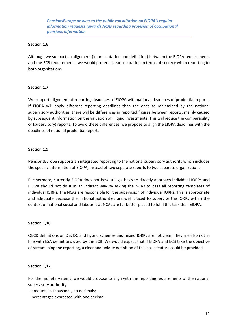#### **Section 1,6**

Although we support an alignment (in presentation and definition) between the EIOPA requirements and the ECB requirements, we would prefer a clear separation in terms of secrecy when reporting to both organizations.

#### **Section 1,7**

We support alignment of reporting deadlines of EIOPA with national deadlines of prudential reports. If EIOPA will apply different reporting deadlines than the ones as maintained by the national supervisory authorities, there will be differences in reported figures between reports, mainly caused by subsequent information on the valuation of illiquid investments. This will reduce the comparability of (supervisory) reports. To avoid these differences, we propose to align the EIOPA deadlines with the deadlines of national prudential reports.

#### **Section 1,9**

PensionsEurope supports an integrated reporting to the national supervisory authority which includes the specific information of EIOPA, instead of two separate reports to two separate organizations.

Furthermore, currently EIOPA does not have a legal basis to directly approach individual IORPs and EIOPA should not do it in an indirect way by asking the NCAs to pass all reporting templates of individual IORPs. The NCAs are responsible for the supervision of individual IORPs. This is appropriate and adequate because the national authorities are well placed to supervise the IORPs within the context of national social and labour law. NCAs are far better placed to fulfil this task than EIOPA.

#### **Section 1,10**

OECD definitions on DB, DC and hybrid schemes and mixed IORPs are not clear. They are also not in line with ESA definitions used by the ECB. We would expect that if EIOPA and ECB take the objective of streamlining the reporting, a clear and unique definition of this basic feature could be provided.

# **Section 1,12**

For the monetary items, we would propose to align with the reporting requirements of the national supervisory authority:

- amounts in thousands, no decimals;
- percentages expressed with one decimal.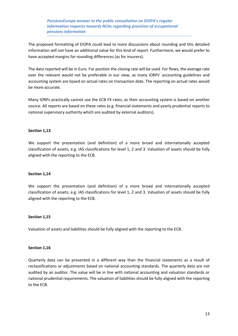The proposed formatting of EIOPA could lead to more discussions about rounding and this detailed information will not have an additional value for this kind of report. Furthermore, we would prefer to have accepted margins for rounding differences (as for insurers).

The data reported will be in Euro. For position the closing rate will be used. For flows, the average rate over the relevant would not be preferable in our view, as many IORPs' accounting guidelines and accounting system are based on actual rates on transaction date. The reporting on actual rates would be more accurate.

Many IORPs practically cannot use the ECB FX rates, as their accounting system is based on another source. All reports are based on these rates (e.g. financial statements and yearly prudential reports to national supervisory authority which are audited by external auditors).

# **Section 1,13**

We support the presentation (and definition) of a more broad and internationally accepted classification of assets; e.g. IAS classifications for level 1, 2 and 3. Valuation of assets should be fully aligned with the reporting to the ECB.

#### **Section 1,14**

We support the presentation (and definition) of a more broad and internationally accepted classification of assets; e.g. IAS classifications for level 1, 2 and 3. Valuation of assets should be fully aligned with the reporting to the ECB.

#### **Section 1,15**

Valuation of assets and liabilities should be fully aligned with the reporting to the ECB.

#### **Section 1,16**

Quarterly data can be presented in a different way than the financial statements as a result of reclassifications or adjustments based on national accounting standards. The quarterly data are not audited by an auditor. The value will be in line with national accounting and valuation standards or national prudential requirements. The valuation of liabilities should be fully aligned with the reporting to the ECB.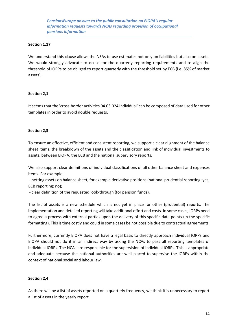#### **Section 1,17**

We understand this clause allows the NSAs to use estimates not only on liabilities but also on assets. We would strongly advocate to do so for the quarterly reporting requirements and to align the threshold of IORPs to be obliged to report quarterly with the threshold set by ECB (i.e. 85% of market assets).

#### **Section 2,1**

It seems that the 'cross-border activities 04.03.024 individual' can be composed of data used for other templates in order to avoid double requests.

# **Section 2,3**

To ensure an effective, efficient and consistent reporting, we support a clear alignment of the balance sheet items, the breakdown of the assets and the classification and link of individual investments to assets, between EIOPA, the ECB and the national supervisory reports.

We also support clear definitions of individual classifications of all other balance sheet and expenses items. For example:

- netting assets on balance sheet, for example derivative positions (national prudential reporting: yes, ECB reporting: no);

- clear definition of the requested look-through (for pension funds).

The list of assets is a new schedule which is not yet in place for other (prudential) reports. The implementation and detailed reporting will take additional effort and costs. In some cases, IORPs need to agree a process with external parties upon the delivery of this specific data points (in the specific formatting). This is time costly and could in some cases be not possible due to contractual agreements.

Furthermore, currently EIOPA does not have a legal basis to directly approach individual IORPs and EIOPA should not do it in an indirect way by asking the NCAs to pass all reporting templates of individual IORPs. The NCAs are responsible for the supervision of individual IORPs. This is appropriate and adequate because the national authorities are well placed to supervise the IORPs within the context of national social and labour law.

#### **Section 2,4**

As there will be a list of assets reported on a quarterly frequency, we think it is unnecessary to report a list of assets in the yearly report.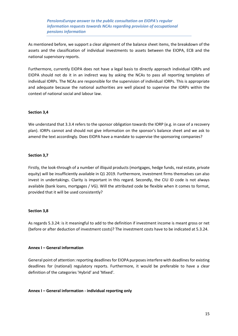As mentioned before, we support a clear alignment of the balance sheet items, the breakdown of the assets and the classification of individual investments to assets between the EIOPA, ECB and the national supervisory reports.

Furthermore, currently EIOPA does not have a legal basis to directly approach individual IORPs and EIOPA should not do it in an indirect way by asking the NCAs to pass all reporting templates of individual IORPs. The NCAs are responsible for the supervision of individual IORPs. This is appropriate and adequate because the national authorities are well placed to supervise the IORPs within the context of national social and labour law.

# **Section 3,4**

We understand that 3.3.4 refers to the sponsor obligation towards the IORP (e.g. in case of a recovery plan). IORPs cannot and should not give information on the sponsor's balance sheet and we ask to amend the text accordingly. Does EIOPA have a mandate to supervise the sponsoring companies?

# **Section 3,7**

Firstly, the look-through of a number of illiquid products (mortgages, hedge funds, real estate, private equity) will be insufficiently available in Q1 2019. Furthermore, investment firms themselves can also invest in undertakings. Clarity is important in this regard. Secondly, the CIU ID code is not always available (bank loans, mortgages / VG). Will the attributed code be flexible when it comes to format, provided that it will be used consistently?

# **Section 3,8**

As regards 5.3.24: is it meaningful to add to the definition if investment income is meant gross or net (before or after deduction of investment costs)? The investment costs have to be indicated at 5.3.24.

# **Annex I – General information**

General point of attention: reporting deadlines for EIOPA purposes interfere with deadlines for existing deadlines for (national) regulatory reports. Furthermore, it would be preferable to have a clear definition of the categories 'Hybrid' and 'Mixed'.

# **Annex I – General information - individual reporting only**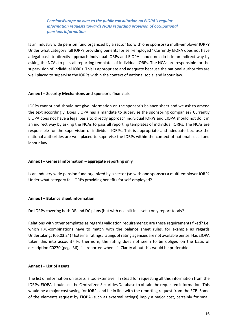Is an industry wide pension fund organized by a sector (so with one sponsor) a multi-employer IORP? Under what category fall IORPs providing benefits for self-employed? Currently EIOPA does not have a legal basis to directly approach individual IORPs and EIOPA should not do it in an indirect way by asking the NCAs to pass all reporting templates of individual IORPs. The NCAs are responsible for the supervision of individual IORPs. This is appropriate and adequate because the national authorities are well placed to supervise the IORPs within the context of national social and labour law.

#### **Annex I – Security Mechanisms and sponsor's financials**

IORPs cannot and should not give information on the sponsor's balance sheet and we ask to amend the text accordingly. Does EIOPA has a mandate to supervise the sponsoring companies? Currently EIOPA does not have a legal basis to directly approach individual IORPs and EIOPA should not do it in an indirect way by asking the NCAs to pass all reporting templates of individual IORPs. The NCAs are responsible for the supervision of individual IORPs. This is appropriate and adequate because the national authorities are well placed to supervise the IORPs within the context of national social and labour law.

#### **Annex I – General information – aggregate reporting only**

Is an industry wide pension fund organized by a sector (so with one sponsor) a multi-employer IORP? Under what category fall IORPs providing benefits for self-employed?

# **Annex I – Balance sheet information**

Do IORPs covering both DB and DC plans (but with no split in assets) only report totals?

Relations with other templates as regards validation requirements: are these requirements fixed? I.e. which R/C-combinations have to match with the balance sheet rules, for example as regards Undertakings (06.03.24)? External ratings: ratings of rating agencies are not available per se. Has EIOPA taken this into account? Furthermore, the rating does not seem to be obliged on the basis of description C0270 (page 36): "... reported when...". Clarity about this would be preferable.

# **Annex I – List of assets**

The list of information on assets is too extensive. In stead for requesting all this information from the IORPs, EIOPA should use the Centralized Securities Database to obtain the requested information. This would be a major cost saving for IORPs and be in line with the reporting request from the ECB. Some of the elements request by EIOPA (such as external ratings) imply a major cost, certainly for small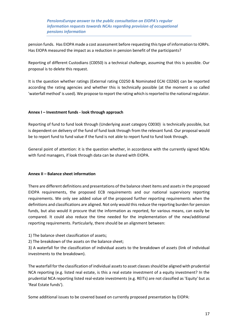pension funds. Has EIOPA made a cost assessment before requesting this type of information to IORPs. Has EIOPA measured the impact as a reduction in pension benefit of the participants?

Reporting of different Custodians (C0050) is a technical challenge, assuming that this is possible. Our proposal is to delete this request.

It is the question whether ratings (External rating C0250 & Nominated ECAI C0260) can be reported according the rating agencies and whether this is technically possible (at the moment a so called 'waterfall method' is used). We propose to report the rating which is reported to the national regulator.

# **Annex I – Investment funds - look through approach**

Reporting of fund to fund look through (Underlying asset category C0030) is technically possible, but is dependent on delivery of the fund of fund look through from the relevant fund. Our proposal would be to report fund to fund value if the fund is not able to report fund to fund look through.

General point of attention: it is the question whether, in accordance with the currently signed NDAs with fund managers, if look through data can be shared with EIOPA.

#### **Annex II – Balance sheet information**

There are different definitions and presentations of the balance sheet items and assets in the proposed EIOPA requirements, the proposed ECB requirements and our national supervisory reporting requirements. We only see added value of the proposed further reporting requirements when the definitions and classifications are aligned. Not only would this reduce the reporting burden for pension funds, but also would it procure that the information as reported, for various means, can easily be compared. It could also reduce the time needed for the implementation of the new/additional reporting requirements. Particularly, there should be an alignment between:

1) The balance sheet classification of assets;

2) The breakdown of the assets on the balance sheet;

3) A waterfall for the classification of individual assets to the breakdown of assets (link of individual investments to the breakdown).

The waterfall for the classification of individual assets to asset classes should be aligned with prudential NCA reporting (e.g. listed real estate, is this a real estate investment of a equity investment? In the prudential NCA reporting listed real-estate investments (e.g. REITs) are not classified as 'Equity' but as 'Real Estate funds').

Some additional issues to be covered based on currently proposed presentation by EIOPA: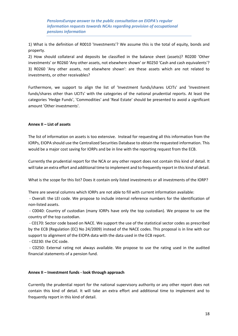1) What is the definition of R0010 'Investments'? We assume this is the total of equity, bonds and property.

2) How should collateral and deposits be classified in the balance sheet (assets)? R0200 'Other investments' or R0260 'Any other assets, not elsewhere shown' or R0250 'Cash and cash equivalents'? 3) R0260 'Any other assets, not elsewhere shown': are these assets which are not related to investments, or other receivables?

Furthermore, we support to align the list of 'Investment funds/shares UCITs' and 'Investment funds/shares other than UCITs' with the categories of the national prudential reports. At least the categories 'Hedge Funds', 'Commodities' and 'Real Estate' should be presented to avoid a significant amount 'Other investments'.

#### **Annex II – List of assets**

The list of information on assets is too extensive. Instead for requesting all this information from the IORPs, EIOPA should use the Centralized Securities Database to obtain the requested information. This would be a major cost saving for IORPs and be in line with the reporting request from the ECB.

Currently the prudential report for the NCA or any other report does not contain this kind of detail. It will take an extra effort and additional time to implement and to frequently report in this kind of detail.

What is the scope for this list? Does it contain only listed investments or all investments of the IORP?

There are several columns which IORPs are not able to fill with current information available:

- Overall: the LEI code. We propose to include internal reference numbers for the identification of non-listed assets.

- C0040: Country of custodian (many IORPs have only the top custodian). We propose to use the country of the top custodian.

- C0170: Sector code based on NACE. We support the use of the statistical sector codes as prescribed by the ECB (Regulation (EC) No 24/2009) instead of the NACE codes. This proposal is in line with our support to alignment of the EIOPA data with the data used in the ECB report.

- C0230: the CIC code.

- C0250: External rating not always available. We propose to use the rating used in the audited financial statements of a pension fund.

#### **Annex II – Investment funds - look through approach**

Currently the prudential report for the national supervisory authority or any other report does not contain this kind of detail. It will take an extra effort and additional time to implement and to frequently report in this kind of detail.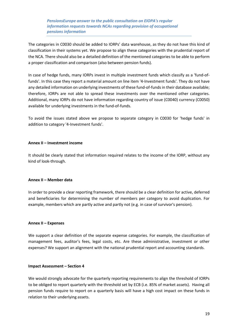The categories in C0030 should be added to IORPs' data warehouse, as they do not have this kind of classification in their systems yet. We propose to align these categories with the prudential report of the NCA. There should also be a detailed definition of the mentioned categories to be able to perform a proper classification and comparison (also between pension funds).

In case of hedge funds, many IORPs invest in multiple investment funds which classify as a 'fund-offunds'. In this case they report a material amount on line item '4-Investment funds'. They do not have any detailed information on underlying investments of these fund-of-funds in their database available; therefore, IORPs are not able to spread these investments over the mentioned other categories. Additional, many IORPs do not have information regarding country of issue (C0040) currency (C0050) available for underlying investments in the fund-of-funds.

To avoid the issues stated above we propose to separate category in C0030 for 'hedge funds' in addition to category '4-Investment funds'.

#### **Annex II – Investment income**

It should be clearly stated that information required relates to the income of the IORP, without any kind of look-through.

#### **Annex II – Member data**

In order to provide a clear reporting framework, there should be a clear definition for active, deferred and beneficiaries for determining the number of members per category to avoid duplication. For example, members which are partly active and partly not (e.g. in case of survivor's pension).

#### **Annex II – Expenses**

We support a clear definition of the separate expense categories. For example, the classification of management fees, auditor's fees, legal costs, etc. Are these administrative, investment or other expenses? We support an alignment with the national prudential report and accounting standards.

#### **Impact Assessment – Section 4**

We would strongly advocate for the quarterly reporting requirements to align the threshold of IORPs to be obliged to report quarterly with the threshold set by ECB (i.e. 85% of market assets). Having all pension funds require to report on a quarterly basis will have a high cost impact on these funds in relation to their underlying assets.